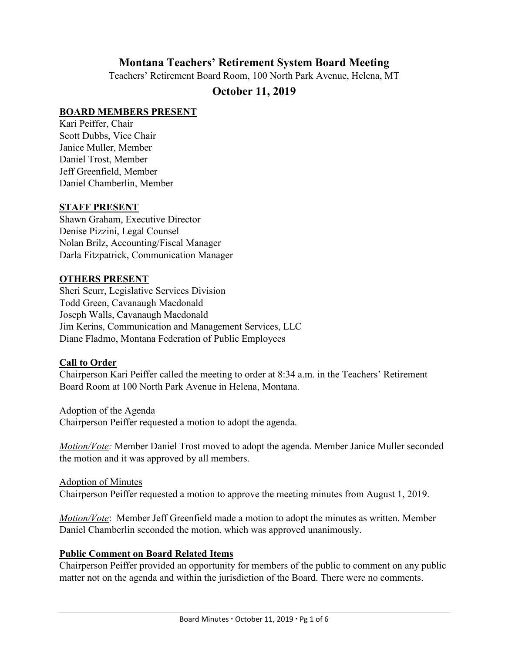# **Montana Teachers' Retirement System Board Meeting**

Teachers' Retirement Board Room, 100 North Park Avenue, Helena, MT

# **October 11, 2019**

### **BOARD MEMBERS PRESENT**

Kari Peiffer, Chair Scott Dubbs, Vice Chair Janice Muller, Member Daniel Trost, Member Jeff Greenfield, Member Daniel Chamberlin, Member

#### **STAFF PRESENT**

Shawn Graham, Executive Director Denise Pizzini, Legal Counsel Nolan Brilz, Accounting/Fiscal Manager Darla Fitzpatrick, Communication Manager

### **OTHERS PRESENT**

Sheri Scurr, Legislative Services Division Todd Green, Cavanaugh Macdonald Joseph Walls, Cavanaugh Macdonald Jim Kerins, Communication and Management Services, LLC Diane Fladmo, Montana Federation of Public Employees

# **Call to Order**

Chairperson Kari Peiffer called the meeting to order at 8:34 a.m. in the Teachers' Retirement Board Room at 100 North Park Avenue in Helena, Montana.

Adoption of the Agenda Chairperson Peiffer requested a motion to adopt the agenda.

*Motion/Vote:* Member Daniel Trost moved to adopt the agenda. Member Janice Muller seconded the motion and it was approved by all members.

Adoption of Minutes Chairperson Peiffer requested a motion to approve the meeting minutes from August 1, 2019.

*Motion/Vote*: Member Jeff Greenfield made a motion to adopt the minutes as written. Member Daniel Chamberlin seconded the motion, which was approved unanimously.

# **Public Comment on Board Related Items**

Chairperson Peiffer provided an opportunity for members of the public to comment on any public matter not on the agenda and within the jurisdiction of the Board. There were no comments.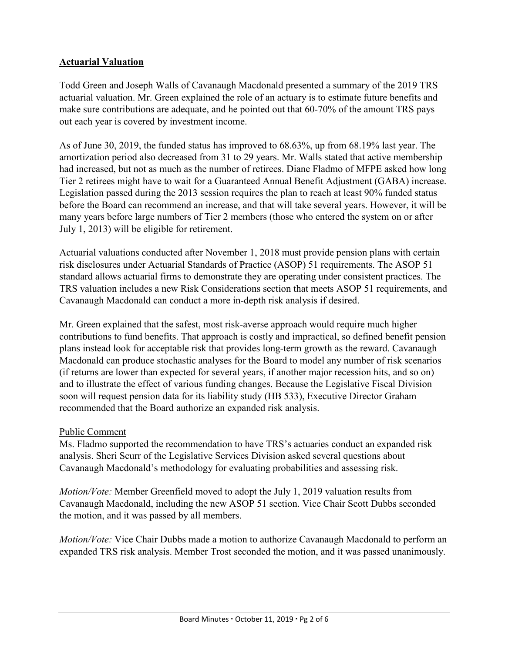# **Actuarial Valuation**

Todd Green and Joseph Walls of Cavanaugh Macdonald presented a summary of the 2019 TRS actuarial valuation. Mr. Green explained the role of an actuary is to estimate future benefits and make sure contributions are adequate, and he pointed out that 60-70% of the amount TRS pays out each year is covered by investment income.

As of June 30, 2019, the funded status has improved to 68.63%, up from 68.19% last year. The amortization period also decreased from 31 to 29 years. Mr. Walls stated that active membership had increased, but not as much as the number of retirees. Diane Fladmo of MFPE asked how long Tier 2 retirees might have to wait for a Guaranteed Annual Benefit Adjustment (GABA) increase. Legislation passed during the 2013 session requires the plan to reach at least 90% funded status before the Board can recommend an increase, and that will take several years. However, it will be many years before large numbers of Tier 2 members (those who entered the system on or after July 1, 2013) will be eligible for retirement.

Actuarial valuations conducted after November 1, 2018 must provide pension plans with certain risk disclosures under Actuarial Standards of Practice (ASOP) 51 requirements. The ASOP 51 standard allows actuarial firms to demonstrate they are operating under consistent practices. The TRS valuation includes a new Risk Considerations section that meets ASOP 51 requirements, and Cavanaugh Macdonald can conduct a more in-depth risk analysis if desired.

Mr. Green explained that the safest, most risk-averse approach would require much higher contributions to fund benefits. That approach is costly and impractical, so defined benefit pension plans instead look for acceptable risk that provides long-term growth as the reward. Cavanaugh Macdonald can produce stochastic analyses for the Board to model any number of risk scenarios (if returns are lower than expected for several years, if another major recession hits, and so on) and to illustrate the effect of various funding changes. Because the Legislative Fiscal Division soon will request pension data for its liability study (HB 533), Executive Director Graham recommended that the Board authorize an expanded risk analysis.

# Public Comment

Ms. Fladmo supported the recommendation to have TRS's actuaries conduct an expanded risk analysis. Sheri Scurr of the Legislative Services Division asked several questions about Cavanaugh Macdonald's methodology for evaluating probabilities and assessing risk.

*Motion/Vote:* Member Greenfield moved to adopt the July 1, 2019 valuation results from Cavanaugh Macdonald, including the new ASOP 51 section. Vice Chair Scott Dubbs seconded the motion, and it was passed by all members.

*Motion/Vote:* Vice Chair Dubbs made a motion to authorize Cavanaugh Macdonald to perform an expanded TRS risk analysis. Member Trost seconded the motion, and it was passed unanimously.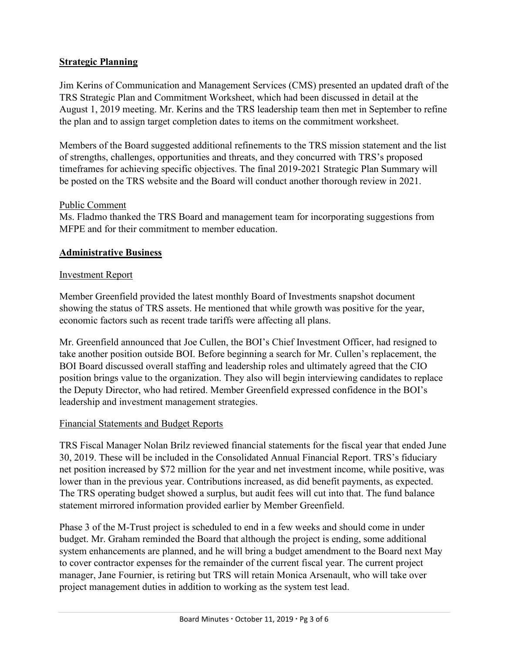# **Strategic Planning**

Jim Kerins of Communication and Management Services (CMS) presented an updated draft of the TRS Strategic Plan and Commitment Worksheet, which had been discussed in detail at the August 1, 2019 meeting. Mr. Kerins and the TRS leadership team then met in September to refine the plan and to assign target completion dates to items on the commitment worksheet.

Members of the Board suggested additional refinements to the TRS mission statement and the list of strengths, challenges, opportunities and threats, and they concurred with TRS's proposed timeframes for achieving specific objectives. The final 2019-2021 Strategic Plan Summary will be posted on the TRS website and the Board will conduct another thorough review in 2021.

#### Public Comment

Ms. Fladmo thanked the TRS Board and management team for incorporating suggestions from MFPE and for their commitment to member education.

# **Administrative Business**

### Investment Report

Member Greenfield provided the latest monthly Board of Investments snapshot document showing the status of TRS assets. He mentioned that while growth was positive for the year, economic factors such as recent trade tariffs were affecting all plans.

Mr. Greenfield announced that Joe Cullen, the BOI's Chief Investment Officer, had resigned to take another position outside BOI. Before beginning a search for Mr. Cullen's replacement, the BOI Board discussed overall staffing and leadership roles and ultimately agreed that the CIO position brings value to the organization. They also will begin interviewing candidates to replace the Deputy Director, who had retired. Member Greenfield expressed confidence in the BOI's leadership and investment management strategies.

# Financial Statements and Budget Reports

TRS Fiscal Manager Nolan Brilz reviewed financial statements for the fiscal year that ended June 30, 2019. These will be included in the Consolidated Annual Financial Report. TRS's fiduciary net position increased by \$72 million for the year and net investment income, while positive, was lower than in the previous year. Contributions increased, as did benefit payments, as expected. The TRS operating budget showed a surplus, but audit fees will cut into that. The fund balance statement mirrored information provided earlier by Member Greenfield.

Phase 3 of the M-Trust project is scheduled to end in a few weeks and should come in under budget. Mr. Graham reminded the Board that although the project is ending, some additional system enhancements are planned, and he will bring a budget amendment to the Board next May to cover contractor expenses for the remainder of the current fiscal year. The current project manager, Jane Fournier, is retiring but TRS will retain Monica Arsenault, who will take over project management duties in addition to working as the system test lead.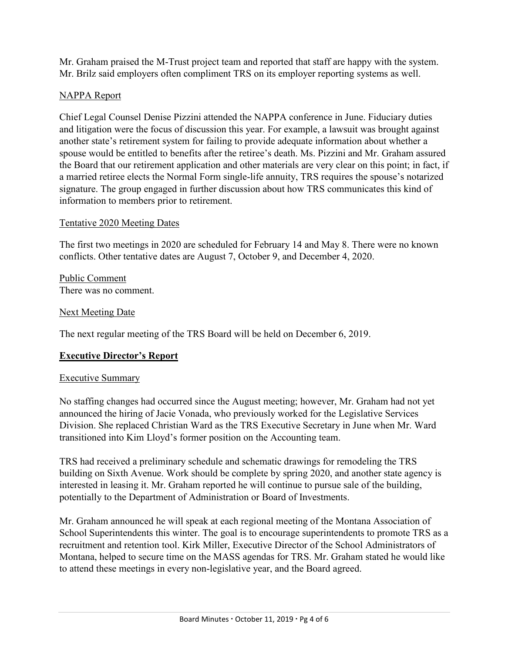Mr. Graham praised the M-Trust project team and reported that staff are happy with the system. Mr. Brilz said employers often compliment TRS on its employer reporting systems as well.

# NAPPA Report

Chief Legal Counsel Denise Pizzini attended the NAPPA conference in June. Fiduciary duties and litigation were the focus of discussion this year. For example, a lawsuit was brought against another state's retirement system for failing to provide adequate information about whether a spouse would be entitled to benefits after the retiree's death. Ms. Pizzini and Mr. Graham assured the Board that our retirement application and other materials are very clear on this point; in fact, if a married retiree elects the Normal Form single-life annuity, TRS requires the spouse's notarized signature. The group engaged in further discussion about how TRS communicates this kind of information to members prior to retirement.

# Tentative 2020 Meeting Dates

The first two meetings in 2020 are scheduled for February 14 and May 8. There were no known conflicts. Other tentative dates are August 7, October 9, and December 4, 2020.

Public Comment There was no comment.

# Next Meeting Date

The next regular meeting of the TRS Board will be held on December 6, 2019.

# **Executive Director's Report**

# Executive Summary

No staffing changes had occurred since the August meeting; however, Mr. Graham had not yet announced the hiring of Jacie Vonada, who previously worked for the Legislative Services Division. She replaced Christian Ward as the TRS Executive Secretary in June when Mr. Ward transitioned into Kim Lloyd's former position on the Accounting team.

TRS had received a preliminary schedule and schematic drawings for remodeling the TRS building on Sixth Avenue. Work should be complete by spring 2020, and another state agency is interested in leasing it. Mr. Graham reported he will continue to pursue sale of the building, potentially to the Department of Administration or Board of Investments.

Mr. Graham announced he will speak at each regional meeting of the Montana Association of School Superintendents this winter. The goal is to encourage superintendents to promote TRS as a recruitment and retention tool. Kirk Miller, Executive Director of the School Administrators of Montana, helped to secure time on the MASS agendas for TRS. Mr. Graham stated he would like to attend these meetings in every non-legislative year, and the Board agreed.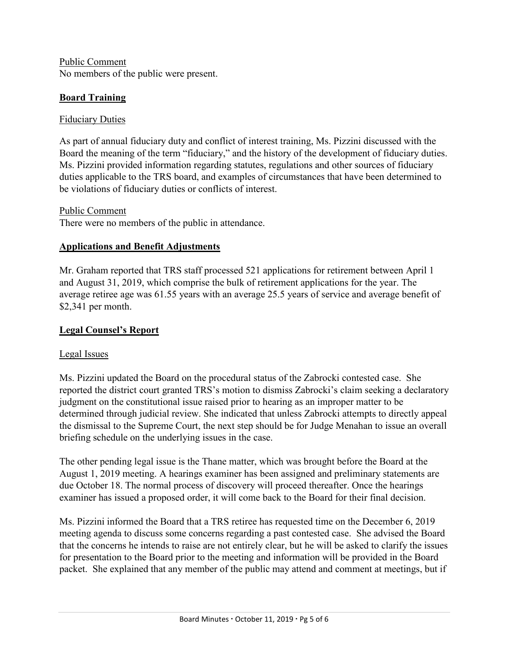Public Comment No members of the public were present.

# **Board Training**

### Fiduciary Duties

As part of annual fiduciary duty and conflict of interest training, Ms. Pizzini discussed with the Board the meaning of the term "fiduciary," and the history of the development of fiduciary duties. Ms. Pizzini provided information regarding statutes, regulations and other sources of fiduciary duties applicable to the TRS board, and examples of circumstances that have been determined to be violations of fiduciary duties or conflicts of interest.

Public Comment

There were no members of the public in attendance.

# **Applications and Benefit Adjustments**

Mr. Graham reported that TRS staff processed 521 applications for retirement between April 1 and August 31, 2019, which comprise the bulk of retirement applications for the year. The average retiree age was 61.55 years with an average 25.5 years of service and average benefit of \$2,341 per month.

# **Legal Counsel's Report**

# Legal Issues

Ms. Pizzini updated the Board on the procedural status of the Zabrocki contested case. She reported the district court granted TRS's motion to dismiss Zabrocki's claim seeking a declaratory judgment on the constitutional issue raised prior to hearing as an improper matter to be determined through judicial review. She indicated that unless Zabrocki attempts to directly appeal the dismissal to the Supreme Court, the next step should be for Judge Menahan to issue an overall briefing schedule on the underlying issues in the case.

The other pending legal issue is the Thane matter, which was brought before the Board at the August 1, 2019 meeting. A hearings examiner has been assigned and preliminary statements are due October 18. The normal process of discovery will proceed thereafter. Once the hearings examiner has issued a proposed order, it will come back to the Board for their final decision.

Ms. Pizzini informed the Board that a TRS retiree has requested time on the December 6, 2019 meeting agenda to discuss some concerns regarding a past contested case. She advised the Board that the concerns he intends to raise are not entirely clear, but he will be asked to clarify the issues for presentation to the Board prior to the meeting and information will be provided in the Board packet. She explained that any member of the public may attend and comment at meetings, but if